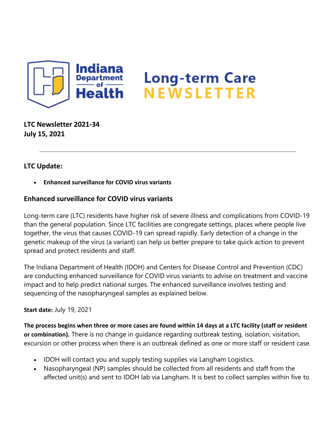

**LTC Newsletter 2021-34 July 15, 2021**

## **LTC Update:**

• **Enhanced surveillance for COVID virus variants**

## **Enhanced surveillance for COVID virus variants**

Long-term care (LTC) residents have higher risk of severe illness and complications from COVID-19 than the general population. Since LTC facilities are congregate settings, places where people live together, the virus that causes COVID-19 can spread rapidly. Early detection of a change in the genetic makeup of the virus (a variant) can help us better prepare to take quick action to prevent spread and protect residents and staff.

The Indiana Department of Health (IDOH) and Centers for Disease Control and Prevention (CDC) are conducting enhanced surveillance for COVID virus variants to advise on treatment and vaccine impact and to help predict national surges. The enhanced surveillance involves testing and sequencing of the nasopharyngeal samples as explained below.

## **Start date:** July 19, 2021

**The process begins when three or more cases are found within 14 days at a LTC facility (staff or resident or combination).** There is no change in guidance regarding outbreak testing, isolation, visitation, excursion or other process when there is an outbreak defined as one or more staff or resident case.

- IDOH will contact you and supply testing supplies via Langham Logistics.
- Nasopharyngeal (NP) samples should be collected from all residents and staff from the affected unit(s) and sent to IDOH lab via Langham. It is best to collect samples within five to